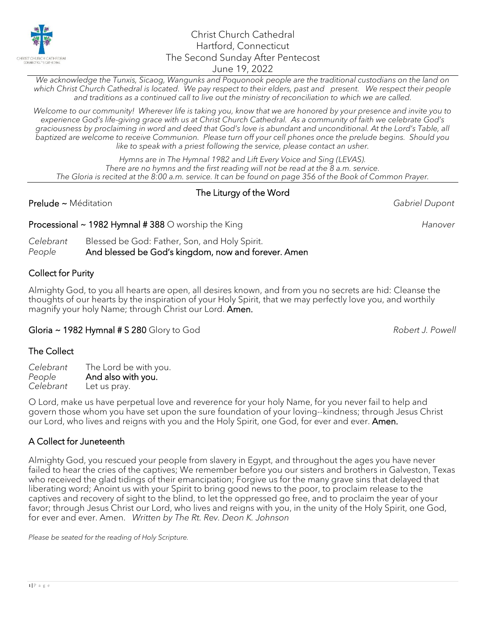Christ Church Cathedral Hartford, Connecticut The Second Sunday After Pentecost June 19, 2022

*We acknowledge the Tunxis, Sicaog, Wangunks and Poquonook people are the traditional custodians on the land on*  which Christ Church Cathedral is located. We pay respect to their elders, past and present. We respect their people *and traditions as a continued call to live out the ministry of reconciliation to which we are called.*

*Welcome to our community! Wherever life is taking you, know that we are honored by your presence and invite you to experience God's life-giving grace with us at Christ Church Cathedral. As a community of faith we celebrate God's graciousness by proclaiming in word and deed that God's love is abundant and unconditional. At the Lord's Table, all baptized are welcome to receive Communion. Please turn off your cell phones once the prelude begins. Should you like to speak with a priest following the service, please contact an usher.*

*Hymns are in The Hymnal 1982 and Lift Every Voice and Sing (LEVAS). There are no hymns and the first reading will not be read at the 8 a.m. service. The Gloria is recited at the 8:00 a.m. service. It can be found on page 356 of the Book of Common Prayer.*

## The Liturgy of the Word

Processional ~ 1982 Hymnal # 388 O worship the King *Hanover* **Hanover** *Hanover* 

*Celebrant* Blessed be God: Father, Son, and Holy Spirit. *People* And blessed be God's kingdom, now and forever. Amen

## Collect for Purity

Almighty God, to you all hearts are open, all desires known, and from you no secrets are hid: Cleanse the thoughts of our hearts by the inspiration of your Holy Spirit, that we may perfectly love you, and worthily magnify your holy Name; through Christ our Lord. Amen.

## Gloria ~ 1982 Hymnal # S 280 Glory to God *Robert J. Powell* Robert J. Powell

## The Collect

| Celebrant | The Lord be with you. |
|-----------|-----------------------|
| People    | And also with you.    |
| Celebrant | Let us pray.          |

O Lord, make us have perpetual love and reverence for your holy Name, for you never fail to help and govern those whom you have set upon the sure foundation of your loving--kindness; through Jesus Christ our Lord, who lives and reigns with you and the Holy Spirit, one God, for ever and ever. Amen.

## A Collect for Juneteenth

Almighty God, you rescued your people from slavery in Egypt, and throughout the ages you have never failed to hear the cries of the captives; We remember before you our sisters and brothers in Galveston, Texas who received the glad tidings of their emancipation; Forgive us for the many grave sins that delayed that liberating word; Anoint us with your Spirit to bring good news to the poor, to proclaim release to the captives and recovery of sight to the blind, to let the oppressed go free, and to proclaim the year of your favor; through Jesus Christ our Lord, who lives and reigns with you, in the unity of the Holy Spirit, one God, for ever and ever. Amen. *Written by The Rt. Rev. Deon K. Johnson*

*Please be seated for the reading of Holy Scripture.*

CHRIST CHURCH CATHEDRAI

I

Prelude ~ Méditation *Gabriel Dupont*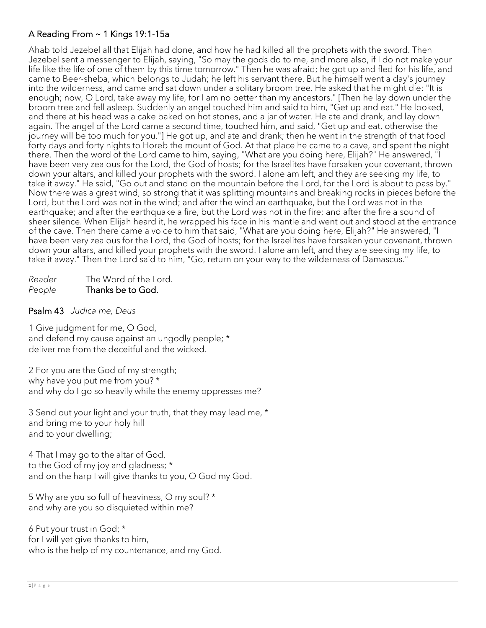# A Reading From ~ 1 Kings 19:1-15a

Ahab told Jezebel all that Elijah had done, and how he had killed all the prophets with the sword. Then Jezebel sent a messenger to Elijah, saying, "So may the gods do to me, and more also, if I do not make your life like the life of one of them by this time tomorrow." Then he was afraid; he got up and fled for his life, and came to Beer-sheba, which belongs to Judah; he left his servant there. But he himself went a day's journey into the wilderness, and came and sat down under a solitary broom tree. He asked that he might die: "It is enough; now, O Lord, take away my life, for I am no better than my ancestors." [Then he lay down under the broom tree and fell asleep. Suddenly an angel touched him and said to him, "Get up and eat." He looked, and there at his head was a cake baked on hot stones, and a jar of water. He ate and drank, and lay down again. The angel of the Lord came a second time, touched him, and said, "Get up and eat, otherwise the journey will be too much for you."] He got up, and ate and drank; then he went in the strength of that food forty days and forty nights to Horeb the mount of God. At that place he came to a cave, and spent the night there. Then the word of the Lord came to him, saying, "What are you doing here, Elijah?" He answered, "I have been very zealous for the Lord, the God of hosts; for the Israelites have forsaken your covenant, thrown down your altars, and killed your prophets with the sword. I alone am left, and they are seeking my life, to take it away." He said, "Go out and stand on the mountain before the Lord, for the Lord is about to pass by." Now there was a great wind, so strong that it was splitting mountains and breaking rocks in pieces before the Lord, but the Lord was not in the wind; and after the wind an earthquake, but the Lord was not in the earthquake; and after the earthquake a fire, but the Lord was not in the fire; and after the fire a sound of sheer silence. When Elijah heard it, he wrapped his face in his mantle and went out and stood at the entrance of the cave. Then there came a voice to him that said, "What are you doing here, Elijah?" He answered, "I have been very zealous for the Lord, the God of hosts; for the Israelites have forsaken your covenant, thrown down your altars, and killed your prophets with the sword. I alone am left, and they are seeking my life, to take it away." Then the Lord said to him, "Go, return on your way to the wilderness of Damascus."

| Reader | The Word of the Lord. |
|--------|-----------------------|
| People | Thanks be to God.     |

#### Psalm 43 *Judica me, Deus* Î

1 Give judgment for me, O God, and defend my cause against an ungodly people; \* deliver me from the deceitful and the wicked.

2 For you are the God of my strength; why have you put me from you? \* and why do I go so heavily while the enemy oppresses me?

3 Send out your light and your truth, that they may lead me, \* and bring me to your holy hill and to your dwelling;

4 That I may go to the altar of God, to the God of my joy and gladness; \* and on the harp I will give thanks to you, O God my God.

5 Why are you so full of heaviness, O my soul? \* and why are you so disquieted within me?

6 Put your trust in God; \* for I will yet give thanks to him, who is the help of my countenance, and my God.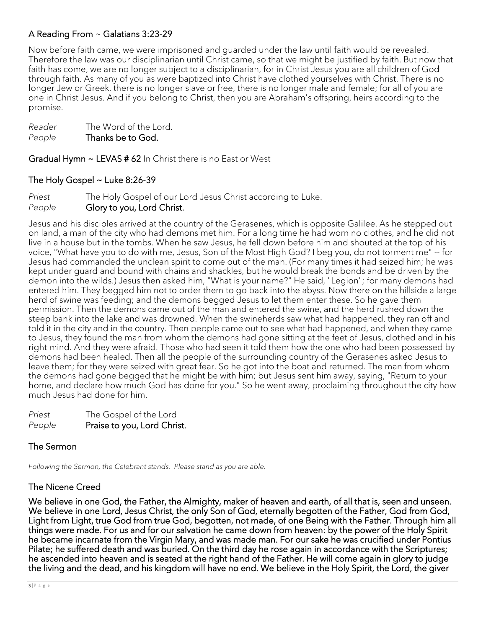# A Reading From ~ Galatians 3:23-29

Now before faith came, we were imprisoned and guarded under the law until faith would be revealed. Therefore the law was our disciplinarian until Christ came, so that we might be justified by faith. But now that faith has come, we are no longer subject to a disciplinarian, for in Christ Jesus you are all children of God through faith. As many of you as were baptized into Christ have clothed yourselves with Christ. There is no longer Jew or Greek, there is no longer slave or free, there is no longer male and female; for all of you are one in Christ Jesus. And if you belong to Christ, then you are Abraham's offspring, heirs according to the promise.

| Reader | The Word of the Lord. |
|--------|-----------------------|
| People | Thanks be to God.     |

Gradual Hymn ~ LEVAS # 62 In Christ there is no East or West

## The Holy Gospel ~ Luke 8:26-39

*Priest* The Holy Gospel of our Lord Jesus Christ according to Luke.

## *People* Glory to you, Lord Christ.

Jesus and his disciples arrived at the country of the Gerasenes, which is opposite Galilee. As he stepped out on land, a man of the city who had demons met him. For a long time he had worn no clothes, and he did not live in a house but in the tombs. When he saw Jesus, he fell down before him and shouted at the top of his voice, "What have you to do with me, Jesus, Son of the Most High God? I beg you, do not torment me" -- for Jesus had commanded the unclean spirit to come out of the man. (For many times it had seized him; he was kept under guard and bound with chains and shackles, but he would break the bonds and be driven by the demon into the wilds.) Jesus then asked him, "What is your name?" He said, "Legion"; for many demons had entered him. They begged him not to order them to go back into the abyss. Now there on the hillside a large herd of swine was feeding; and the demons begged Jesus to let them enter these. So he gave them permission. Then the demons came out of the man and entered the swine, and the herd rushed down the steep bank into the lake and was drowned. When the swineherds saw what had happened, they ran off and told it in the city and in the country. Then people came out to see what had happened, and when they came to Jesus, they found the man from whom the demons had gone sitting at the feet of Jesus, clothed and in his right mind. And they were afraid. Those who had seen it told them how the one who had been possessed by demons had been healed. Then all the people of the surrounding country of the Gerasenes asked Jesus to leave them; for they were seized with great fear. So he got into the boat and returned. The man from whom the demons had gone begged that he might be with him; but Jesus sent him away, saying, "Return to your home, and declare how much God has done for you." So he went away, proclaiming throughout the city how much Jesus had done for him.

| Priest | The Gospel of the Lord      |
|--------|-----------------------------|
| People | Praise to you, Lord Christ. |

## The Sermon

*Following the Sermon, the Celebrant stands. Please stand as you are able.*

# The Nicene Creed

We believe in one God, the Father, the Almighty, maker of heaven and earth, of all that is, seen and unseen. We believe in one Lord, Jesus Christ, the only Son of God, eternally begotten of the Father, God from God, Light from Light, true God from true God, begotten, not made, of one Being with the Father. Through him all things were made. For us and for our salvation he came down from heaven: by the power of the Holy Spirit he became incarnate from the Virgin Mary, and was made man. For our sake he was crucified under Pontius Pilate; he suffered death and was buried. On the third day he rose again in accordance with the Scriptures; he ascended into heaven and is seated at the right hand of the Father. He will come again in glory to judge the living and the dead, and his kingdom will have no end. We believe in the Holy Spirit, the Lord, the giver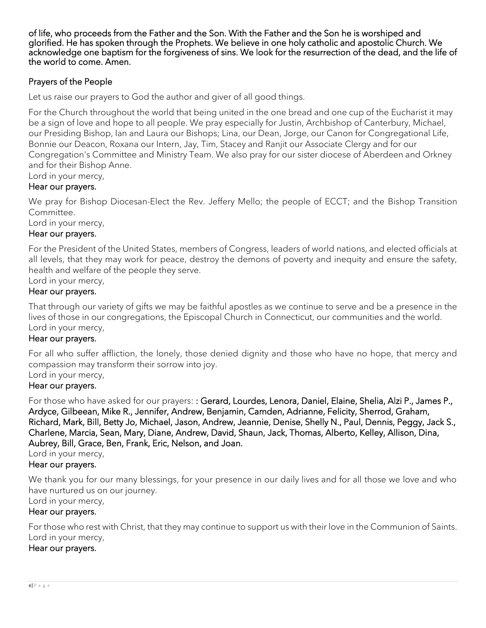of life, who proceeds from the Father and the Son. With the Father and the Son he is worshiped and glorified. He has spoken through the Prophets. We believe in one holy catholic and apostolic Church. We acknowledge one baptism for the forgiveness of sins. We look for the resurrection of the dead, and the life of the world to come. Amen.

# Prayers of the People

Let us raise our prayers to God the author and giver of all good things.

For the Church throughout the world that being united in the one bread and one cup of the Eucharist it may be a sign of love and hope to all people. We pray especially for Justin, Archbishop of Canterbury, Michael, our Presiding Bishop, Ian and Laura our Bishops; Lina, our Dean, Jorge, our Canon for Congregational Life, Bonnie our Deacon, Roxana our Intern, Jay, Tim, Stacey and Ranjit our Associate Clergy and for our Congregation's Committee and Ministry Team. We also pray for our sister diocese of Aberdeen and Orkney and for their Bishop Anne.

Lord in your mercy,

# Hear our prayers.

We pray for Bishop Diocesan-Elect the Rev. Jeffery Mello; the people of ECCT; and the Bishop Transition Committee.

Lord in your mercy,

#### Hear our prayers.

For the President of the United States, members of Congress, leaders of world nations, and elected officials at all levels, that they may work for peace, destroy the demons of poverty and inequity and ensure the safety, health and welfare of the people they serve.

Lord in your mercy,

## Hear our prayers.

That through our variety of gifts we may be faithful apostles as we continue to serve and be a presence in the lives of those in our congregations, the Episcopal Church in Connecticut, our communities and the world. Lord in your mercy,

## Hear our prayers.

For all who suffer affliction, the lonely, those denied dignity and those who have no hope, that mercy and compassion may transform their sorrow into joy.

# Lord in your mercy,

Hear our prayers.

For those who have asked for our prayers: : Gerard, Lourdes, Lenora, Daniel, Elaine, Shelia, Alzi P., James P., Ardyce, Gilbeean, Mike R., Jennifer, Andrew, Benjamin, Camden, Adrianne, Felicity, Sherrod, Graham, Richard, Mark, Bill, Betty Jo, Michael, Jason, Andrew, Jeannie, Denise, Shelly N., Paul, Dennis, Peggy, Jack S., Charlene, Marcia, Sean, Mary, Diane, Andrew, David, Shaun, Jack, Thomas, Alberto, Kelley, Allison, Dina, Aubrey, Bill, Grace, Ben, Frank, Eric, Nelson, and Joan.

Lord in your mercy,

# Hear our prayers.

We thank you for our many blessings, for your presence in our daily lives and for all those we love and who have nurtured us on our journey.

Lord in your mercy,

## Hear our prayers.

For those who rest with Christ, that they may continue to support us with their love in the Communion of Saints. Lord in your mercy,

## Hear our prayers.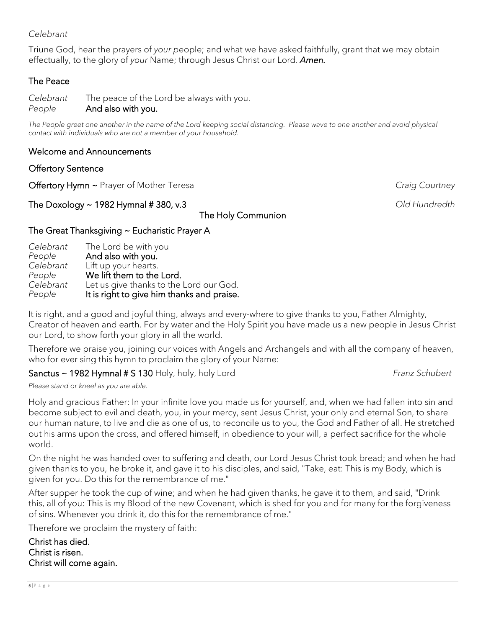### *Celebrant*

Triune God, hear the prayers of *your p*eople; and what we have asked faithfully, grant that we may obtain effectually, to the glory of *your* Name; through Jesus Christ our Lord. *Amen.*

## The Peace

*Celebrant* The peace of the Lord be always with you. *People* **And also with you.** 

*The People greet one another in the name of the Lord keeping social distancing. Please wave to one another and avoid physical contact with individuals who are not a member of your household.*

#### Welcome and Announcements

#### Offertory Sentence

Offertory Hymn ~ Prayer of Mother Teresa *Craig Courtney*

#### The Doxology ~ 1982 Hymnal # 380, v.3 *Old Hundredth*

The Holy Communion

## The Great Thanksgiving ~ Eucharistic Prayer A

| Celebrant | The Lord be with you                       |
|-----------|--------------------------------------------|
| People    | And also with you.                         |
| Celebrant | Lift up your hearts.                       |
| People    | We lift them to the Lord.                  |
| Celebrant | Let us give thanks to the Lord our God.    |
| People    | It is right to give him thanks and praise. |

It is right, and a good and joyful thing, always and every-where to give thanks to you, Father Almighty, Creator of heaven and earth. For by water and the Holy Spirit you have made us a new people in Jesus Christ our Lord, to show forth your glory in all the world.

Therefore we praise you, joining our voices with Angels and Archangels and with all the company of heaven, who for ever sing this hymn to proclaim the glory of your Name:

## Sanctus ~ 1982 Hymnal # S 130 Holy, holy, holy Lord *Franz Schubert*

*Please stand or kneel as you are able.*

Holy and gracious Father: In your infinite love you made us for yourself, and, when we had fallen into sin and become subject to evil and death, you, in your mercy, sent Jesus Christ, your only and eternal Son, to share our human nature, to live and die as one of us, to reconcile us to you, the God and Father of all. He stretched out his arms upon the cross, and offered himself, in obedience to your will, a perfect sacrifice for the whole world.

On the night he was handed over to suffering and death, our Lord Jesus Christ took bread; and when he had given thanks to you, he broke it, and gave it to his disciples, and said, "Take, eat: This is my Body, which is given for you. Do this for the remembrance of me."

After supper he took the cup of wine; and when he had given thanks, he gave it to them, and said, "Drink this, all of you: This is my Blood of the new Covenant, which is shed for you and for many for the forgiveness of sins. Whenever you drink it, do this for the remembrance of me."

Therefore we proclaim the mystery of faith:

Christ has died. Christ is risen. Christ will come again.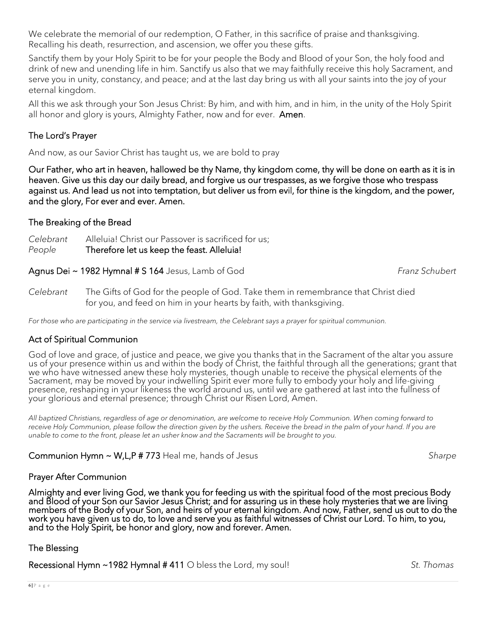We celebrate the memorial of our redemption, O Father, in this sacrifice of praise and thanksgiving. Recalling his death, resurrection, and ascension, we offer you these gifts.

Sanctify them by your Holy Spirit to be for your people the Body and Blood of your Son, the holy food and drink of new and unending life in him. Sanctify us also that we may faithfully receive this holy Sacrament, and serve you in unity, constancy, and peace; and at the last day bring us with all your saints into the joy of your eternal kingdom.

All this we ask through your Son Jesus Christ: By him, and with him, and in him, in the unity of the Holy Spirit all honor and glory is yours, Almighty Father, now and for ever. Amen.

## The Lord's Prayer

And now, as our Savior Christ has taught us, we are bold to pray

Our Father, who art in heaven, hallowed be thy Name, thy kingdom come, thy will be done on earth as it is in heaven. Give us this day our daily bread, and forgive us our trespasses, as we forgive those who trespass against us. And lead us not into temptation, but deliver us from evil, for thine is the kingdom, and the power, and the glory, For ever and ever. Amen.

## The Breaking of the Bread

*Celebrant* Alleluia! Christ our Passover is sacrificed for us; *People* Therefore let us keep the feast. Alleluia!

Agnus Dei ~ 1982 Hymnal # S 164 Jesus, Lamb of God *Franz Schubert* 

*Celebrant* The Gifts of God for the people of God. Take them in remembrance that Christ died for you, and feed on him in your hearts by faith, with thanksgiving.

*For those who are participating in the service via livestream, the Celebrant says a prayer for spiritual communion.*

## Act of Spiritual Communion

God of love and grace, of justice and peace, we give you thanks that in the Sacrament of the altar you assure us of your presence within us and within the body of Christ, the faithful through all the generations; grant that we who have witnessed anew these holy mysteries, though unable to receive the physical elements of the Sacrament, may be moved by your indwelling Spirit ever more fully to embody your holy and life-giving presence, reshaping in your likeness the world around us, until we are gathered at last into the fullness of your glorious and eternal presence; through Christ our Risen Lord, Amen.

*All baptized Christians, regardless of age or denomination, are welcome to receive Holy Communion. When coming forward to*  receive Holy Communion, please follow the direction given by the ushers. Receive the bread in the palm of your hand. If you are *unable to come to the front, please let an usher know and the Sacraments will be brought to you.*

Communion Hymn ~ W,L,P # 773 Heal me, hands of Jesus *Sharpe*

## Prayer After Communion

Almighty and ever living God, we thank you for feeding us with the spiritual food of the most precious Body and Blood of your Son our Savior Jesus Christ; and for assuring us in these holy mysteries that we are living members of the Body of your Son, and heirs of your eternal kingdom. And now, Father, send us out to do the work you have given us to do, to love and serve you as faithful witnesses of Christ our Lord. To him, to you, and to the Holy Spirit, be honor and glory, now and forever. Amen.

## The Blessing

Recessional Hymn ~1982 Hymnal # 411 O bless the Lord, my soul! *St. Thomas*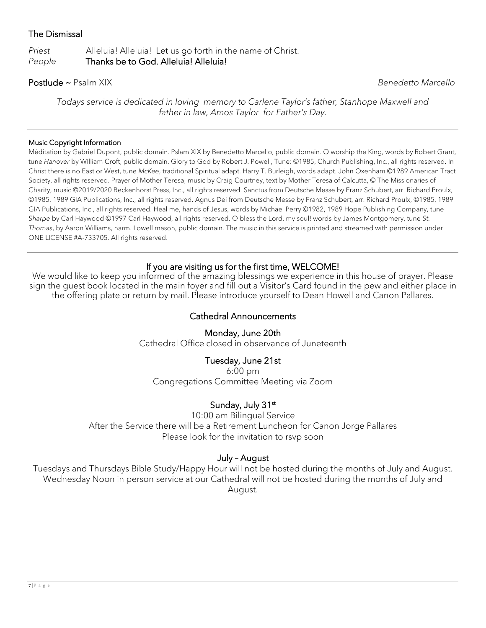#### The Dismissal

*Priest* Alleluia! Alleluia! Let us go forth in the name of Christ. *People* Thanks be to God. Alleluia! Alleluia!

#### Postlude ~ Psalm XIX *Benedetto Marcello*

*Todays service is dedicated in loving memory to Carlene Taylor's father, Stanhope Maxwell and father in law, Amos Taylor for Father's Day.*

#### Music Copyright Information

Méditation by Gabriel Dupont, public domain. Pslam XIX by Benedetto Marcello, public domain. O worship the King, words by Robert Grant, tune *Hanover* by WIlliam Croft, public domain. Glory to God by Robert J. Powell, Tune: ©1985, Church Publishing, Inc., all rights reserved. In Christ there is no East or West, tune *McKee*, traditional Spiritual adapt. Harry T. Burleigh, words adapt. John Oxenham ©1989 American Tract Society, all rights reserved. Prayer of Mother Teresa, music by Craig Courtney, text by Mother Teresa of Calcutta, © The Missionaries of Charity, music ©2019/2020 Beckenhorst Press, Inc., all rights reserved. Sanctus from Deutsche Messe by Franz Schubert, arr. Richard Proulx, ©1985, 1989 GIA Publications, Inc., all rights reserved. Agnus Dei from Deutsche Messe by Franz Schubert, arr. Richard Proulx, ©1985, 1989 GIA Publications, Inc., all rights reserved. Heal me, hands of Jesus, words by Michael Perry ©1982, 1989 Hope Publishing Company, tune *Sharpe* by Carl Haywood ©1997 Carl Haywood, all rights reserved. O bless the Lord, my soul! words by James Montgomery, tune *St. Thomas*, by Aaron Williams, harm. Lowell mason, public domain. The music in this service is printed and streamed with permission under ONE LICENSE #A-733705. All rights reserved.

## If you are visiting us for the first time, WELCOME!

We would like to keep you informed of the amazing blessings we experience in this house of prayer. Please sign the guest book located in the main foyer and fill out a Visitor's Card found in the pew and either place in the offering plate or return by mail. Please introduce yourself to Dean Howell and Canon Pallares.

## Cathedral Announcements

## Monday, June 20th

Cathedral Office closed in observance of Juneteenth

## Tuesday, June 21st

6:00 pm Congregations Committee Meeting via Zoom

## Sunday, July 31st

10:00 am Bilingual Service After the Service there will be a Retirement Luncheon for Canon Jorge Pallares Please look for the invitation to rsvp soon

#### July – August

Tuesdays and Thursdays Bible Study/Happy Hour will not be hosted during the months of July and August. Wednesday Noon in person service at our Cathedral will not be hosted during the months of July and August.